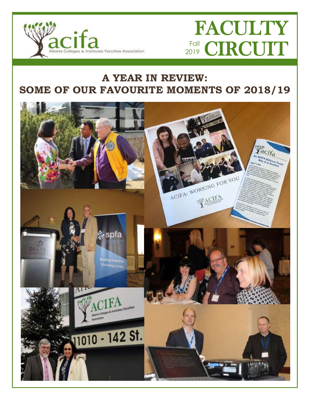

# FACULTY Fall **CIRCUIT**

## **A YEAR IN REVIEW: SOME OF OUR FAVOURITE MOMENTS OF 2018/19**

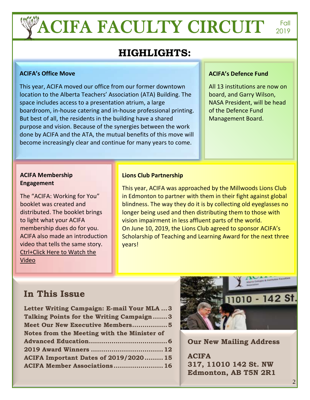# **ACIFA FACULTY CIRCUIT FOLL PROPERTY**

2019

## **HIGHLIGHTS:**

#### **ACIFA's Office Move**

This year, ACIFA moved our office from our former downtown location to the Alberta Teachers' Association (ATA) Building. The space includes access to a presentation atrium, a large boardroom, in-house catering and in-house professional printing. But best of all, the residents in the building have a shared purpose and vision. Because of the synergies between the work done by ACIFA and the ATA, the mutual benefits of this move will become increasingly clear and continue for many years to come.

#### **ACIFA's Defence Fund**

All 13 institutions are now on board, and Garry Wilson, NASA President, will be head of the Defence Fund Management Board.

#### **ACIFA Membership Engagement**

The "ACIFA: Working for You" booklet was created and distributed. The booklet brings to light what your ACIFA membership dues do for you. ACIFA also made an introduction video that tells the same story. [Ctrl+Click Here to Watch the](https://video.wixstatic.com/video/16fcf0_10f62387efe74075990f2bee16115567/720p/mp4/file.mp4)  [Video](https://video.wixstatic.com/video/16fcf0_10f62387efe74075990f2bee16115567/720p/mp4/file.mp4)

#### **Lions Club Partnership**

This year, ACIFA was approached by the Millwoods Lions Club in Edmonton to partner with them in their fight against global blindness. The way they do it is by collecting old eyeglasses no longer being used and then distributing them to those with vision impairment in less affluent parts of the world. On June 10, 2019, the Lions Club agreed to sponsor ACIFA's Scholarship of Teaching and Learning Award for the next three years!

## **In This Issue**

| Letter Writing Campaign: E-mail Your MLA  3  |
|----------------------------------------------|
| Talking Points for the Writing Campaign3     |
| Meet Our New Executive Members5              |
| Notes from the Meeting with the Minister of  |
|                                              |
|                                              |
|                                              |
| <b>ACIFA Important Dates of 2019/2020 15</b> |



**Our New Mailing Address**

**ACIFA 317, 11010 142 St. NW Edmonton, AB T5N 2R1**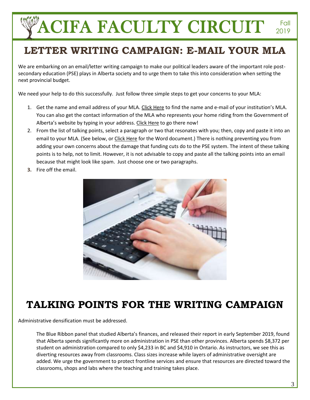## **LETTER WRITING CAMPAIGN: E-MAIL YOUR MLA**

We are embarking on an email/letter writing campaign to make our political leaders aware of the important role postsecondary education (PSE) plays in Alberta society and to urge them to take this into consideration when setting the next provincial budget.

We need your help to do this successfully. Just follow three simple steps to get your concerns to your MLA:

- 1. Get the name and email address of your MLA. [Click Here](https://docs.wixstatic.com/ugd/16fcf0_687fd1a56c414670823502d65381fac1.pdf) to find the name and e-mail of your institution's MLA. You can also get the contact information of the MLA who represents your home riding from the Government of Alberta's website by typing in your address[. Click Here](https://www.assembly.ab.ca/lao/mla/mla_help.htm) to go there now!
- 2. From the list of talking points, select a paragraph or two that resonates with you; then, copy and paste it into an email to your MLA. (See below, or [Click Here](https://static.wixstatic.com/ugd/16fcf0_6e205be5a9194b3995a8bdac3e0f6ad5.docx) for the Word document.) There is nothing preventing you from adding your own concerns about the damage that funding cuts do to the PSE system. The intent of these talking points is to help, not to limit. However, it is not advisable to copy and paste all the talking points into an email because that might look like spam. Just choose one or two paragraphs.
- **3.** Fire off the email.



## **TALKING POINTS FOR THE WRITING CAMPAIGN**

Administrative densification must be addressed.

The Blue Ribbon panel that studied Alberta's finances, and released their report in early September 2019, found that Alberta spends significantly more on administration in PSE than other provinces. Alberta spends \$8,372 per student on administration compared to only \$4,233 in BC and \$4,910 in Ontario. As instructors, we see this as diverting resources away from classrooms. Class sizes increase while layers of administrative oversight are added. We urge the government to protect frontline services and ensure that resources are directed toward the classrooms, shops and labs where the teaching and training takes place.

2019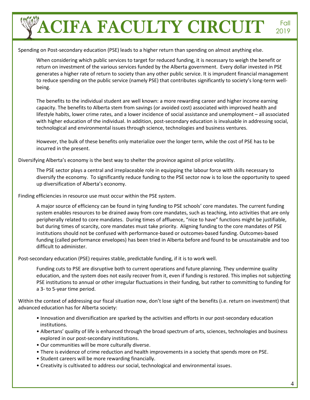Spending on Post-secondary education (PSE) leads to a higher return than spending on almost anything else.

When considering which public services to target for reduced funding, it is necessary to weigh the benefit or return on investment of the various services funded by the Alberta government. Every dollar invested in PSE generates a higher rate of return to society than any other public service. It is imprudent financial management to reduce spending on the public service (namely PSE) that contributes significantly to society's long-term wellbeing.

The benefits to the individual student are well known: a more rewarding career and higher income earning capacity. The benefits to Alberta stem from savings (or avoided cost) associated with improved health and lifestyle habits, lower crime rates, and a lower incidence of social assistance and unemployment – all associated with higher education of the individual. In addition, post-secondary education is invaluable in addressing social, technological and environmental issues through science, technologies and business ventures.

However, the bulk of these benefits only materialize over the longer term, while the cost of PSE has to be incurred in the present.

Diversifying Alberta's economy is the best way to shelter the province against oil price volatility.

The PSE sector plays a central and irreplaceable role in equipping the labour force with skills necessary to diversify the economy. To significantly reduce funding to the PSE sector now is to lose the opportunity to speed up diversification of Alberta's economy.

Finding efficiencies in resource use must occur within the PSE system.

A major source of efficiency can be found in tying funding to PSE schools' core mandates. The current funding system enables resources to be drained away from core mandates, such as teaching, into activities that are only peripherally related to core mandates. During times of affluence, "nice to have" functions might be justifiable, but during times of scarcity, core mandates must take priority. Aligning funding to the core mandates of PSE institutions should not be confused with performance-based or outcomes-based funding. Outcomes-based funding (called performance envelopes) has been tried in Alberta before and found to be unsustainable and too difficult to administer.

Post-secondary education (PSE) requires stable, predictable funding, if it is to work well.

Funding cuts to PSE are disruptive both to current operations and future planning. They undermine quality education, and the system does not easily recover from it, even if funding is restored. This implies not subjecting PSE institutions to annual or other irregular fluctuations in their funding, but rather to committing to funding for a 3- to 5-year time period.

Within the context of addressing our fiscal situation now, don't lose sight of the benefits (i.e. return on investment) that advanced education has for Alberta society:

- Innovation and diversification are sparked by the activities and efforts in our post-secondary education institutions.
- Albertans' quality of life is enhanced through the broad spectrum of arts, sciences, technologies and business explored in our post-secondary institutions.
- Our communities will be more culturally diverse.
- There is evidence of crime reduction and health improvements in a society that spends more on PSE.
- Student careers will be more rewarding financially.
- Creativity is cultivated to address our social, technological and environmental issues.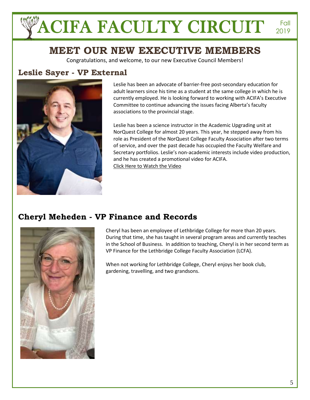## **MEET OUR NEW EXECUTIVE MEMBERS**

Congratulations, and welcome, to our new Executive Council Members!

### **Leslie Sayer - VP External**



Leslie has been an advocate of barrier-free post-secondary education for adult learners since his time as a student at the same college in which he is currently employed. He is looking forward to working with ACIFA's Executive Committee to continue advancing the issues facing Alberta's faculty associations to the provincial stage.

Leslie has been a science instructor in the Academic Upgrading unit at NorQuest College for almost 20 years. This year, he stepped away from his role as President of the NorQuest College Faculty Association after two terms of service, and over the past decade has occupied the Faculty Welfare and Secretary portfolios. Leslie's non-academic interests include video production, and he has created a promotional video for ACIFA. [Click Here to Watch the Video](https://video.wixstatic.com/video/16fcf0_10f62387efe74075990f2bee16115567/720p/mp4/file.mp4)

### **Cheryl Meheden - VP Finance and Records**



Cheryl has been an employee of Lethbridge College for more than 20 years. During that time, she has taught in several program areas and currently teaches in the School of Business. In addition to teaching, Cheryl is in her second term as VP Finance for the Lethbridge College Faculty Association (LCFA).

When not working for Lethbridge College, Cheryl enjoys her book club, gardening, travelling, and two grandsons.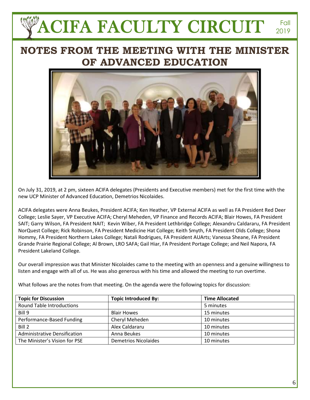## **NOTES FROM THE MEETING WITH THE MINISTER OF ADVANCED EDUCATION**



On July 31, 2019, at 2 pm, sixteen ACIFA delegates (Presidents and Executive members) met for the first time with the new UCP Minister of Advanced Education, Demetrios Nicolaides.

ACIFA delegates were Anna Beukes, President ACIFA; Ken Heather, VP External ACIFA as well as FA President Red Deer College; Leslie Sayer, VP Executive ACIFA; Cheryl Meheden, VP Finance and Records ACIFA; Blair Howes, FA President SAIT; Garry Wilson, FA President NAIT; Kevin Wiber, FA President Lethbridge College; Alexandru Caldararu, FA President NorQuest College; Rick Robinson, FA President Medicine Hat College; Keith Smyth, FA President Olds College; Shona Hommy, FA President Northern Lakes College; Natali Rodrigues, FA President AUArts; Vanessa Sheane, FA President Grande Prairie Regional College; Al Brown, LRO SAFA; Gail Hiar, FA President Portage College; and Neil Napora, FA President Lakeland College.

Our overall impression was that Minister Nicolaides came to the meeting with an openness and a genuine willingness to listen and engage with all of us. He was also generous with his time and allowed the meeting to run overtime.

What follows are the notes from that meeting. On the agenda were the following topics for discussion:

| <b>Topic for Discussion</b>      | <b>Topic Introduced By:</b> | <b>Time Allocated</b> |
|----------------------------------|-----------------------------|-----------------------|
| <b>Round Table Introductions</b> |                             | 5 minutes             |
| Bill 9                           | <b>Blair Howes</b>          | 15 minutes            |
| Performance-Based Funding        | Cheryl Meheden              | 10 minutes            |
| Bill 2                           | Alex Caldararu              | 10 minutes            |
| Administrative Densification     | Anna Beukes                 | 10 minutes            |
| The Minister's Vision for PSE    | <b>Demetrios Nicolaides</b> | 10 minutes            |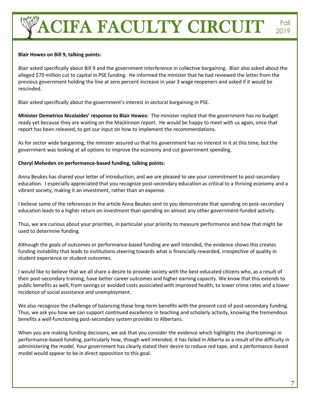#### **Blair Howes on Bill 9, talking points:**

Blair asked specifically about Bill 9 and the government interference in collective bargaining. Blair also asked about the alleged \$70 million cut to capital in PSE funding. He informed the minister that he had reviewed the letter from the previous government holding the line at zero percent increase in year 3 wage reopeners and asked if it would be rescinded.

Blair asked specifically about the government's interest in sectoral bargaining in PSE.

**Minister Demetrios Nicolaides' response to Blair Howes:** The minister replied that the government has no budget ready yet because they are waiting on the Mackinnon report. He would be happy to meet with us again, once that report has been released, to get our input on how to implement the recommendations.

As for sector wide bargaining, the minister assured us that his government has no interest in it at this time, but the government was looking at all options to improve the economy and cut government spending.

#### **Cheryl Meheden on performance-based funding, talking points:**

Anna Beukes has shared your letter of introduction, and we are pleased to see your commitment to post-secondary education. I especially appreciated that you recognize post-secondary education as critical to a thriving economy and a vibrant society, making it an investment, rather than an expense.

I believe some of the references in the article Anna Beukes sent to you demonstrate that spending on post-secondary education leads to a higher return on investment than spending on almost any other government-funded activity.

Thus, we are curious about your priorities, in particular your priority to measure performance and how that might be used to determine funding.

Although the goals of outcomes or performance-based funding are well intended, the evidence shows this creates funding instability that leads to institutions steering towards what is financially rewarded, irrespective of quality in student experience or student outcomes.

I would like to believe that we all share a desire to provide society with the best-educated citizens who, as a result of their post-secondary training, have better career outcomes and higher earning capacity. We know that this extends to public benefits as well, from savings or avoided costs associated with improved health, to lower crime rates and a lower incidence of social assistance and unemployment.

We also recognize the challenge of balancing these long-term benefits with the present cost of post-secondary funding. Thus, we ask you how we can support continued excellence in teaching and scholarly activity, knowing the tremendous benefits a well-functioning post-secondary system provides to Albertans.

When you are making funding decisions, we ask that you consider the evidence which highlights the shortcomings in performance-based funding, particularly how, though well intended, it has failed in Alberta as a result of the difficulty in administering the model. Your government has clearly stated their desire to reduce red tape, and a performance-based model would appear to be in direct opposition to this goal.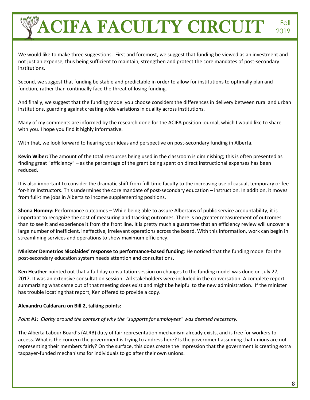2019

We would like to make three suggestions. First and foremost, we suggest that funding be viewed as an investment and not just an expense, thus being sufficient to maintain, strengthen and protect the core mandates of post-secondary institutions.

Second, we suggest that funding be stable and predictable in order to allow for institutions to optimally plan and function, rather than continually face the threat of losing funding.

And finally, we suggest that the funding model you choose considers the differences in delivery between rural and urban institutions, guarding against creating wide variations in quality across institutions.

Many of my comments are informed by the research done for the ACIFA position journal, which I would like to share with you. I hope you find it highly informative.

With that, we look forward to hearing your ideas and perspective on post-secondary funding in Alberta.

**Kevin Wiber:** The amount of the total resources being used in the classroom is diminishing; this is often presented as finding great "efficiency" – as the percentage of the grant being spent on direct instructional expenses has been reduced.

It is also important to consider the dramatic shift from full-time faculty to the increasing use of casual, temporary or feefor-hire instructors. This undermines the core mandate of post-secondary education – instruction. In addition, it moves from full-time jobs in Alberta to income supplementing positions.

**Shona Hommy:** Performance outcomes – While being able to assure Albertans of public service accountability, it is important to recognize the cost of measuring and tracking outcomes. There is no greater measurement of outcomes than to see it and experience it from the front line. It is pretty much a guarantee that an efficiency review will uncover a large number of inefficient, ineffective, irrelevant operations across the board. With this information, work can begin in streamlining services and operations to show maximum efficiency.

**Minister Demetrios Nicolaides' response to performance-based funding**: He noticed that the funding model for the post-secondary education system needs attention and consultations.

**Ken Heather** pointed out that a full-day consultation session on changes to the funding model was done on July 27, 2017. It was an extensive consultation session. All stakeholders were included in the conversation. A complete report summarizing what came out of that meeting does exist and might be helpful to the new administration. If the minister has trouble locating that report, Ken offered to provide a copy.

#### **Alexandru Caldararu on Bill 2, talking points:**

#### *Point #1: Clarity around the context of why the "supports for employees" was deemed necessary.*

The Alberta Labour Board's (ALRB) duty of fair representation mechanism already exists, and is free for workers to access. What is the concern the government is trying to address here? Is the government assuming that unions are not representing their members fairly? On the surface, this does create the impression that the government is creating extra taxpayer-funded mechanisms for individuals to go after their own unions.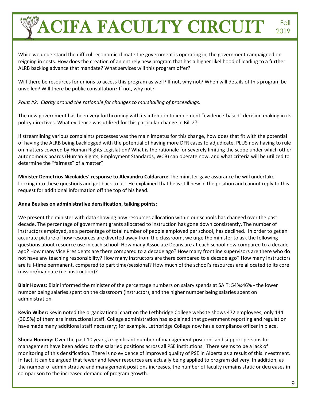While we understand the difficult economic climate the government is operating in, the government campaigned on reigning in costs. How does the creation of an entirely new program that has a higher likelihood of leading to a further ALRB backlog advance that mandate? What services will this program offer?

Will there be resources for unions to access this program as well? If not, why not? When will details of this program be unveiled? Will there be public consultation? If not, why not?

#### *Point #2: Clarity around the rationale for changes to marshalling of proceedings.*

The new government has been very forthcoming with its intention to implement "evidence-based" decision making in its policy directives. What evidence was utilized for this particular change in Bill 2?

If streamlining various complaints processes was the main impetus for this change, how does that fit with the potential of having the ALRB being backlogged with the potential of having more DFR cases to adjudicate, PLUS now having to rule on matters covered by Human Rights Legislation? What is the rationale for severely limiting the scope under which other autonomous boards (Human Rights, Employment Standards, WCB) can operate now, and what criteria will be utilized to determine the "fairness" of a matter?

**Minister Demetrios Nicolaides' response to Alexandru Caldararu:** The minister gave assurance he will undertake looking into these questions and get back to us. He explained that he is still new in the position and cannot reply to this request for additional information off the top of his head.

#### **Anna Beukes on administrative densification, talking points:**

We present the minister with data showing how resources allocation within our schools has changed over the past decade. The percentage of government grants allocated to instruction has gone down consistently. The number of instructors employed, as a percentage of total number of people employed per school, has declined. In order to get an accurate picture of how resources are diverted away from the classroom, we urge the minister to ask the following questions about resource use in each school: How many Associate Deans are at each school now compared to a decade ago? How many Vice Presidents are there compared to a decade ago? How many frontline supervisors are there who do not have any teaching responsibility? How many instructors are there compared to a decade ago? How many instructors are full-time permanent, compared to part time/sessional? How much of the school's resources are allocated to its core mission/mandate (i.e. instruction)?

**Blair Howes:** Blair informed the minister of the percentage numbers on salary spends at SAIT: 54%:46% - the lower number being salaries spent on the classroom (instructor), and the higher number being salaries spent on administration.

**Kevin Wiber:** Kevin noted the organizational chart on the Lethbridge College website shows 472 employees; only 144 (30.5%) of them are instructional staff. College administration has explained that government reporting and regulation have made many additional staff necessary; for example, Lethbridge College now has a compliance officer in place.

**Shona Hommy:** Over the past 10 years, a significant number of management positions and support persons for management have been added to the salaried positions across all PSE institutions. There seems to be a lack of monitoring of this densification. There is no evidence of improved quality of PSE in Alberta as a result of this investment. In fact, it can be argued that fewer and fewer resources are actually being applied to program delivery. In addition, as the number of administrative and management positions increases, the number of faculty remains static or decreases in comparison to the increased demand of program growth.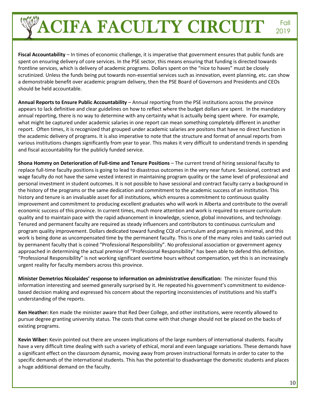**Fiscal Accountability** – In times of economic challenge, it is imperative that government ensures that public funds are spent on ensuring delivery of core services. In the PSE sector, this means ensuring that funding is directed towards frontline services, which is delivery of academic programs. Dollars spent on the "nice to haves" must be closely scrutinized. Unless the funds being put towards non-essential services such as innovation, event planning, etc. can show a demonstrable benefit over academic program delivery, then the PSE Board of Governors and Presidents and CEOs should be held accountable.

**Annual Reports to Ensure Public Accountability** – Annual reporting from the PSE institutions across the province appears to lack definitive and clear guidelines on how to reflect where the budget dollars are spent. In the mandatory annual reporting, there is no way to determine with any certainty what is actually being spent where. For example, what might be captured under academic salaries in one report can mean something completely different in another report. Often times, it is recognized that grouped under academic salaries are positons that have no direct function in the academic delivery of programs. It is also imperative to note that the structure and format of annual reports from various institutions changes significantly from year to year. This makes it very difficult to understand trends in spending and fiscal accountability for the publicly funded service.

**Shona Hommy on Deterioration of Full-time and Tenure Positions** – The current trend of hiring sessional faculty to replace full-time faculty positions is going to lead to disastrous outcomes in the very near future. Sessional, contract and wage faculty do not have the same vested interest in maintaining program quality or the same level of professional and personal investment in student outcomes. It is not possible to have sessional and contract faculty carry a background in the history of the programs or the same dedication and commitment to the academic success of an institution. This history and tenure is an invaluable asset for all institutions, which ensures a commitment to continuous quality improvement and commitment to producing excellent graduates who will work in Alberta and contribute to the overall economic success of this province. In current times, much more attention and work is required to ensure curriculum quality and to maintain pace with the rapid advancement in knowledge, science, global innovations, and technology. Tenured and permanent faculty are required as steady influencers and contributors to continuous curriculum and program quality improvement. Dollars dedicated toward funding CQI of curriculum and programs is minimal, and this work is being done as uncompensated time by the permanent faculty. This is one of the many roles and tasks carried out by permanent faculty that is coined "Professional Responsibility". No professional association or government agency approached in determining the actual premise of "Professional Responsibility" has been able to defend this definition. "Professional Responsibility" is not working significant overtime hours without compensation, yet this is an increasingly urgent reality for faculty members across this province.

**Minister Demetrios Nicolaides' response to information on administrative densification:** The minister found this information interesting and seemed generally surprised by it. He repeated his government's commitment to evidencebased decision making and expressed his concern about the reporting inconsistencies of institutions and his staff's understanding of the reports.

**Ken Heather:** Ken made the minister aware that Red Deer College, and other institutions, were recently allowed to pursue degree granting university status. The costs that come with that change should not be placed on the backs of existing programs.

**Kevin Wiber:** Kevin pointed out there are unseen implications of the large numbers of international students. Faculty have a very difficult time dealing with such a variety of ethical, moral and even language variations. These demands have a significant effect on the classroom dynamic, moving away from proven instructional formats in order to cater to the specific demands of the international students. This has the potential to disadvantage the domestic students and places a huge additional demand on the faculty.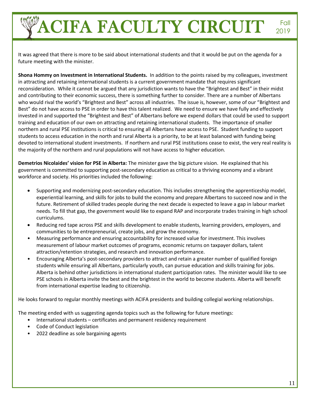It was agreed that there is more to be said about international students and that it would be put on the agenda for a future meeting with the minister.

**Shona Hommy on Investment in International Students.** In addition to the points raised by my colleagues, investment in attracting and retaining international students is a current government mandate that requires significant reconsideration. While it cannot be argued that any jurisdiction wants to have the "Brightest and Best" in their midst and contributing to their economic success, there is something further to consider. There are a number of Albertans who would rival the world's "Brightest and Best" across all industries. The issue is, however, some of our "Brightest and Best" do not have access to PSE in order to have this talent realized. We need to ensure we have fully and effectively invested in and supported the "Brightest and Best" of Albertans before we expend dollars that could be used to support training and education of our own on attracting and retaining international students. The importance of smaller northern and rural PSE institutions is critical to ensuring all Albertans have access to PSE. Student funding to support students to access education in the north and rural Alberta is a priority, to be at least balanced with funding being devoted to international student investments. If northern and rural PSE institutions cease to exist, the very real reality is the majority of the northern and rural populations will not have access to higher education.

**Demetrios Nicolaides' vision for PSE in Alberta:** The minister gave the big picture vision. He explained that his government is committed to supporting post-secondary education as critical to a thriving economy and a vibrant workforce and society. His priorities included the following:

- Supporting and modernizing post-secondary education. This includes strengthening the apprenticeship model, experiential learning, and skills for jobs to build the economy and prepare Albertans to succeed now and in the future. Retirement of skilled trades people during the next decade is expected to leave a gap in labour market needs. To fill that gap, the government would like to expand RAP and incorporate trades training in high school curriculums.
- Reducing red tape across PSE and skills development to enable students, learning providers, employers, and communities to be entrepreneurial, create jobs, and grow the economy.
- Measuring performance and ensuring accountability for increased value for investment. This involves measurement of labour market outcomes of programs, economic returns on taxpayer dollars, talent attraction/retention strategies, and research and innovation performance.
- Encouraging Alberta's post-secondary providers to attract and retain a greater number of qualified foreign students while ensuring all Albertans, particularly youth, can pursue education and skills training for jobs. Alberta is behind other jurisdictions in international student participation rates. The minister would like to see PSE schools in Alberta invite the best and the brightest in the world to become students. Alberta will benefit from international expertise leading to citizenship.

He looks forward to regular monthly meetings with ACIFA presidents and building collegial working relationships.

The meeting ended with us suggesting agenda topics such as the following for future meetings:

- International students certificates and permanent residency requirement
- Code of Conduct legislation
- 2022 deadline as sole bargaining agents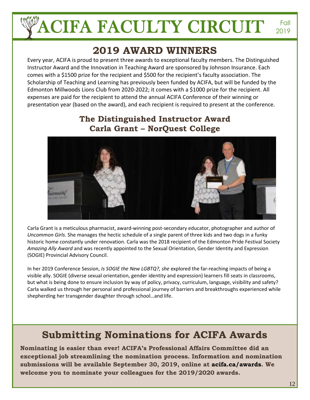## **2019 AWARD WINNERS**

Every year, ACIFA is proud to present three awards to exceptional faculty members. The Distinguished Instructor Award and the Innovation in Teaching Award are sponsored by Johnson Insurance. Each comes with a \$1500 prize for the recipient and \$500 for the recipient's faculty association. The Scholarship of Teaching and Learning has previously been funded by ACIFA, but will be funded by the Edmonton Millwoods Lions Club from 2020-2022; it comes with a \$1000 prize for the recipient. All expenses are paid for the recipient to attend the annual ACIFA Conference of their winning or presentation year (based on the award), and each recipient is required to present at the conference.

## **The Distinguished Instructor Award Carla Grant – NorQuest College**



Carla Grant is a meticulous pharmacist, award-winning post-secondary educator, photographer and author of *Uncommon Girls*. She manages the hectic schedule of a single parent of three kids and two dogs in a funky historic home constantly under renovation. Carla was the 2018 recipient of the Edmonton Pride Festival Society *Amazing Ally Award* and was recently appointed to the Sexual Orientation, Gender Identity and Expression (SOGIE) Provincial Advisory Council.

In her 2019 Conference Session, *Is SOGIE the New LGBTQ?, she* explored the far-reaching impacts of being a visible ally. SOGIE (diverse sexual orientation, gender identity and expression) learners fill seats in classrooms, but what is being done to ensure inclusion by way of policy, privacy, curriculum, language, visibility and safety? Carla walked us through her personal and professional journey of barriers and breakthroughs experienced while shepherding her transgender daughter through school…and life.

## **Submitting Nominations for ACIFA Awards**

**Nominating is easier than ever! ACIFA's Professional Affairs Committee did an exceptional job streamlining the nomination process. Information and nomination submissions will be available September 30, 2019, online at acifa.ca/awards. We welcome you to nominate your colleagues for the 2019/2020 awards.**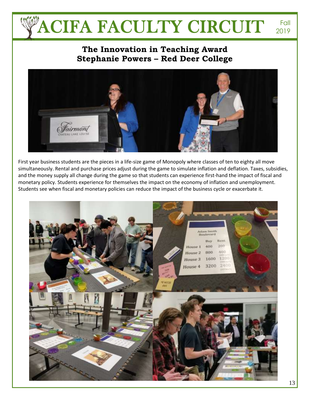### **The Innovation in Teaching Award Stephanie Powers – Red Deer College**



First year business students are the pieces in a life-size game of Monopoly where classes of ten to eighty all move simultaneously. Rental and purchase prices adjust during the game to simulate inflation and deflation. Taxes, subsidies, and the money supply all change during the game so that students can experience first-hand the impact of fiscal and monetary policy. Students experience for themselves the impact on the economy of inflation and unemployment. Students see when fiscal and monetary policies can reduce the impact of the business cycle or exacerbate it.

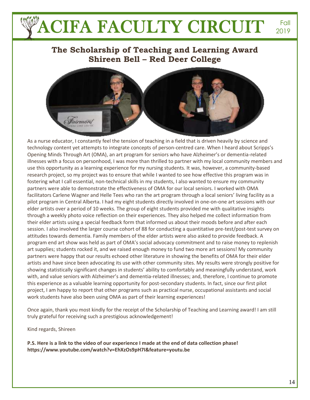### **The Scholarship of Teaching and Learning Award Shireen Bell – Red Deer College**



As a nurse educator, I constantly feel the tension of teaching in a field that is driven heavily by science and technology content yet attempts to integrate concepts of person-centred care. When I heard about Scripps's Opening Minds Through Art (OMA), an art program for seniors who have Alzheimer's or dementia-related illnesses with a focus on personhood, I was more than thrilled to partner with my local community members and use this opportunity as a learning experience for my nursing students. It was, however, a community-based research project, so my project was to ensure that while I wanted to see how effective this program was in fostering what I call essential, non-technical skills in my students, I also wanted to ensure my community partners were able to demonstrate the effectiveness of OMA for our local seniors. I worked with OMA facilitators Carlene Wagner and Helle Tees who ran the art program through a local seniors' living facility as a pilot program in Central Alberta. I had my eight students directly involved in one-on-one art sessions with our elder artists over a period of 10 weeks. The group of eight students provided me with qualitative insights through a weekly photo voice reflection on their experiences. They also helped me collect information from their elder artists using a special feedback form that informed us about their moods before and after each session. I also involved the larger course cohort of 88 for conducting a quantitative pre-test/post-test survey on attitudes towards dementia. Family members of the elder artists were also asked to provide feedback. A program end art show was held as part of OMA's social advocacy commitment and to raise money to replenish art supplies; students rocked it, and we raised enough money to fund two more art sessions! My community partners were happy that our results echoed other literature in showing the benefits of OMA for their elder artists and have since been advocating its use with other community sites. My results were strongly positive for showing statistically significant changes in students' ability to comfortably and meaningfully understand, work with, and value seniors with Alzheimer's and dementia-related illnesses; and, therefore, I continue to promote this experience as a valuable learning opportunity for post-secondary students. In fact, since our first pilot project, I am happy to report that other programs such as practical nurse, occupational assistants and social work students have also been using OMA as part of their learning experiences!

Once again, thank you most kindly for the receipt of the Scholarship of Teaching and Learning award! I am still truly grateful for receiving such a prestigious acknowledgement!

Kind regards, Shireen

**P.S. Here is a link to the video of our experience I made at the end of data collection phase! <https://www.youtube.com/watch?v=EhXzOs9pH7I&feature=youtu.be>**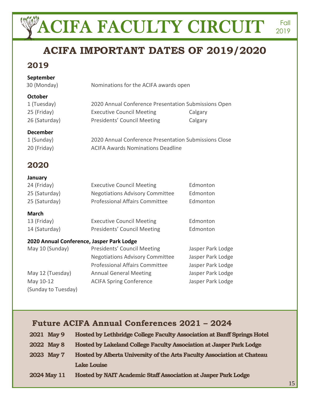# **ACIFA IMPORTANT DATES OF 2019/2020**

### **2019**

#### **September**

30 (Monday) Nominations for the ACIFA awards open

#### **October**

| 1 (Tuesday)   | 2020 Annual Conference Presentation Submissions Open |         |
|---------------|------------------------------------------------------|---------|
| 25 (Friday)   | <b>Executive Council Meeting</b>                     | Calgary |
| 26 (Saturday) | Presidents' Council Meeting                          | Calgary |

#### **December**

| 1 (Sunday)  | 2020 Annual Conference Presentation Submissions Close |
|-------------|-------------------------------------------------------|
| 20 (Friday) | <b>ACIFA Awards Nominations Deadline</b>              |

## **2020**

**January**

(Sunday to Tuesday)

| ,,,,,,,,,,       |                                           |                   |
|------------------|-------------------------------------------|-------------------|
| 24 (Friday)      | <b>Executive Council Meeting</b>          | Edmonton          |
| 25 (Saturday)    | <b>Negotiations Advisory Committee</b>    | Edmonton          |
| 25 (Saturday)    | <b>Professional Affairs Committee</b>     | Edmonton          |
| <b>March</b>     |                                           |                   |
| 13 (Friday)      | <b>Executive Council Meeting</b>          | Edmonton          |
| 14 (Saturday)    | Presidents' Council Meeting               | Edmonton          |
|                  | 2020 Annual Conference, Jasper Park Lodge |                   |
| May 10 (Sunday)  | Presidents' Council Meeting               | Jasper Park Lodge |
|                  | <b>Negotiations Advisory Committee</b>    | Jasper Park Lodge |
|                  | <b>Professional Affairs Committee</b>     | Jasper Park Lodge |
| May 12 (Tuesday) | <b>Annual General Meeting</b>             | Jasper Park Lodge |
| May 10-12        | <b>ACIFA Spring Conference</b>            | Jasper Park Lodge |

## **Future ACIFA Annual Conferences 2021 – 2024**

| 2021 May 9  | Hosted by Lethbridge College Faculty Association at Banff Springs Hotel |
|-------------|-------------------------------------------------------------------------|
| 2022 May 8  | Hosted by Lakeland College Faculty Association at Jasper Park Lodge     |
| 2023 May 7  | Hosted by Alberta University of the Arts Faculty Association at Chateau |
|             | <b>Lake Louise</b>                                                      |
| 2024 May 11 | Hosted by NAIT Academic Staff Association at Jasper Park Lodge          |